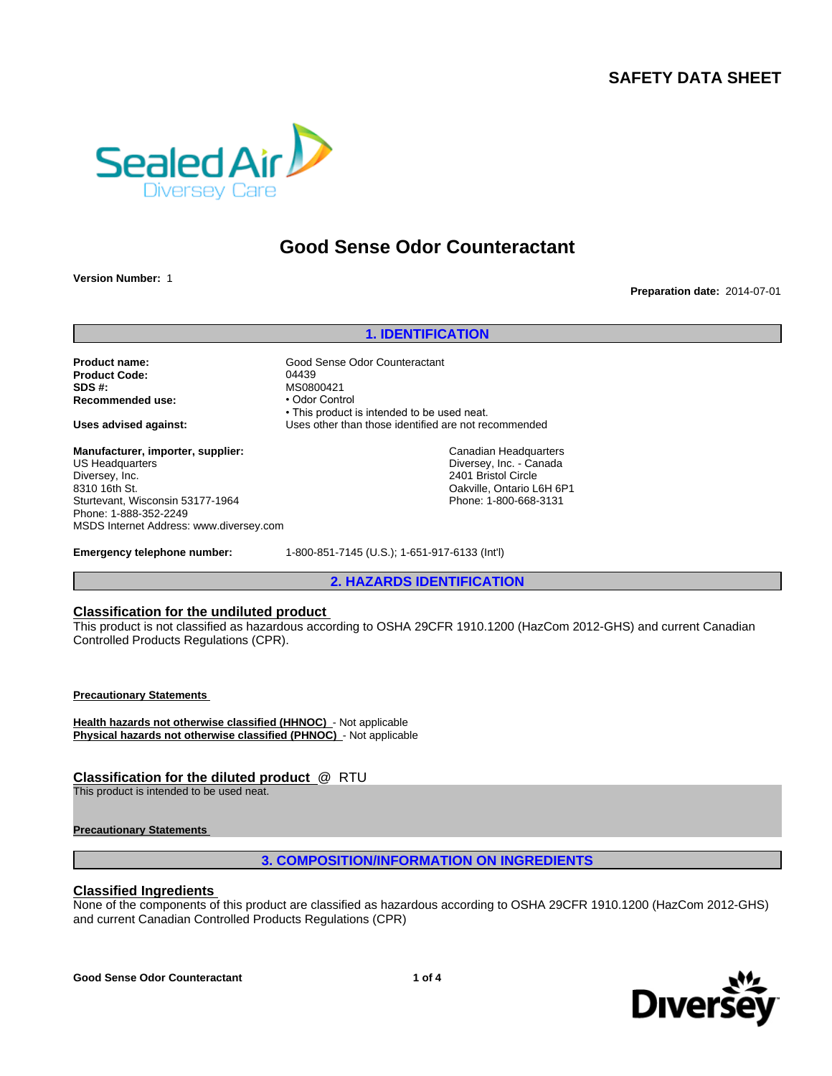

# **Good Sense Odor Counteractant**

**Version Number:** 1

**Preparation date:** 2014-07-01

**1. IDENTIFICATION**

**Product name:** Good Sense Odor Counteractant **Product Code:** 04439<br> **SDS #:** 0508 **Recommended use:** 

MS0800421<br>• Odor Control • This product is intended to be used neat. **Uses advised against:** Uses other than those identified are not recommended

**Manufacturer, importer, supplier:** US Headquarters Diversey, Inc. 8310 16th St. Sturtevant, Wisconsin 53177-1964 Phone: 1-888-352-2249 MSDS Internet Address: www.diversey.com

Canadian Headquarters Diversey, Inc. - Canada

2401 Bristol Circle Oakville, Ontario L6H 6P1 Phone: 1-800-668-3131

**Emergency telephone number:** 1-800-851-7145 (U.S.); 1-651-917-6133 (Int'l)

**2. HAZARDS IDENTIFICATION**

## **Classification for the undiluted product**

This product is not classified as hazardous according to OSHA 29CFR 1910.1200 (HazCom 2012-GHS) and current Canadian Controlled Products Regulations (CPR).

**Precautionary Statements** 

**Health hazards not otherwise classified (HHNOC)** - Not applicable **Physical hazards not otherwise classified (PHNOC)** - Not applicable

# **Classification for the diluted product** @ RTU

This product is intended to be used neat.

## **Precautionary Statements**

# **3. COMPOSITION/INFORMATION ON INGREDIENTS**

# **Classified Ingredients**

None of the components of this product are classified as hazardous according to OSHA 29CFR 1910.1200 (HazCom 2012-GHS) and current Canadian Controlled Products Regulations (CPR)

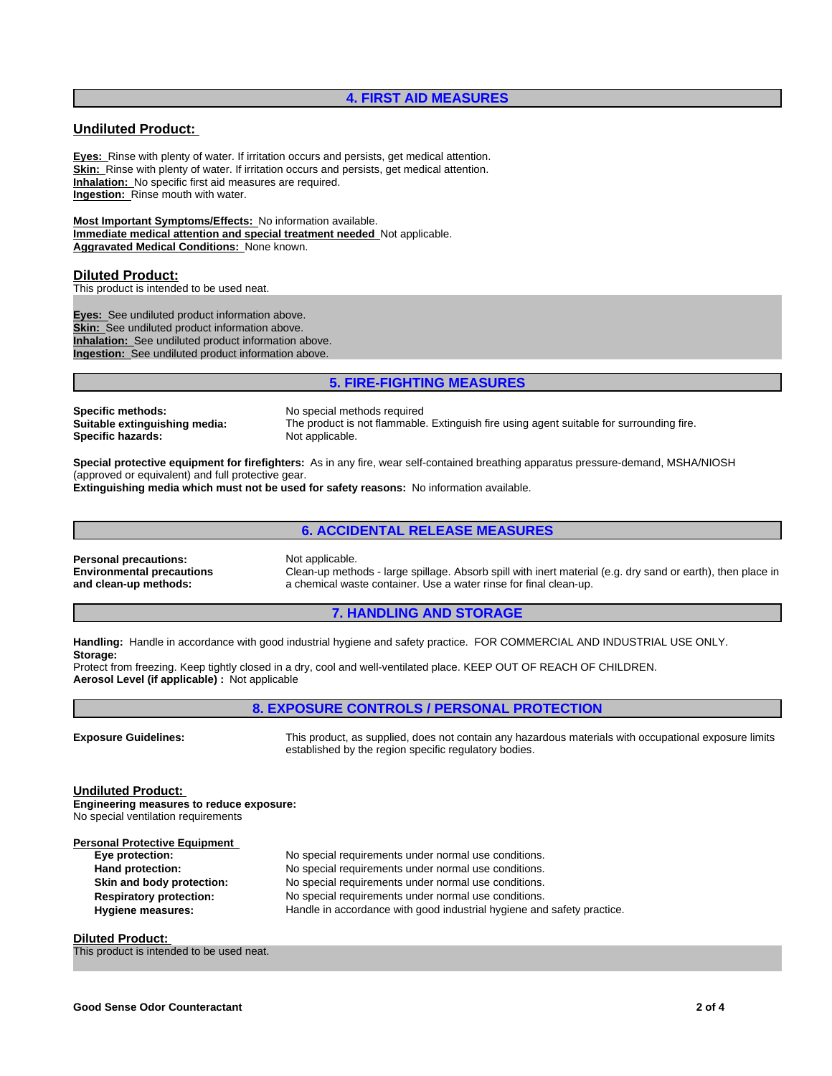## **4. FIRST AID MEASURES**

## **Undiluted Product:**

**Eyes:** Rinse with plenty of water. If irritation occurs and persists, get medical attention. **Skin:** Rinse with plenty of water. If irritation occurs and persists, get medical attention. **Inhalation:** No specific first aid measures are required. **Ingestion:** Rinse mouth with water.

**Most Important Symptoms/Effects:** No information available. **Immediate medical attention and special treatment needed** Not applicable. **Aggravated Medical Conditions:** None known.

#### **Diluted Product:**

This product is intended to be used neat.

**Eyes:** See undiluted product information above. **Skin:** See undiluted product information above. **Inhalation:** See undiluted product information above. **Ingestion:** See undiluted product information above.

# **5. FIRE-FIGHTING MEASURES**

**Specific methods:** No special methods required<br> **Suitable extinguishing media:** The product is not flammable **Specific hazards:** Not applicable.

The product is not flammable. Extinguish fire using agent suitable for surrounding fire.

**Special protective equipment for firefighters:** As in any fire, wear self-contained breathing apparatus pressure-demand, MSHA/NIOSH (approved or equivalent) and full protective gear.

**Extinguishing media which must not be used for safety reasons:** No information available.

# **6. ACCIDENTAL RELEASE MEASURES**

**Personal precautions:** Not applicable. **Environmental precautions and clean-up methods:**

Clean-up methods - large spillage. Absorb spill with inert material (e.g. dry sand or earth), then place in a chemical waste container. Use a water rinse for final clean-up.

#### **7. HANDLING AND STORAGE**

**Handling:** Handle in accordance with good industrial hygiene and safety practice. FOR COMMERCIAL AND INDUSTRIAL USE ONLY. **Storage:**

Protect from freezing. Keep tightly closed in a dry, cool and well-ventilated place. KEEP OUT OF REACH OF CHILDREN. **Aerosol Level (if applicable) :** Not applicable

# **8. EXPOSURE CONTROLS / PERSONAL PROTECTION**

**Exposure Guidelines:** This product, as supplied, does not contain any hazardous materials with occupational exposure limits established by the region specific regulatory bodies.

**Undiluted Product:** 

**Engineering measures to reduce exposure:** No special ventilation requirements

| <b>Personal Protective Equipment</b> |                                                                        |
|--------------------------------------|------------------------------------------------------------------------|
| Eye protection:                      | No special requirements under normal use conditions.                   |
| Hand protection:                     | No special requirements under normal use conditions.                   |
| Skin and body protection:            | No special requirements under normal use conditions.                   |
| <b>Respiratory protection:</b>       | No special requirements under normal use conditions.                   |
| <b>Hygiene measures:</b>             | Handle in accordance with good industrial hygiene and safety practice. |

**Diluted Product:** 

This product is intended to be used neat.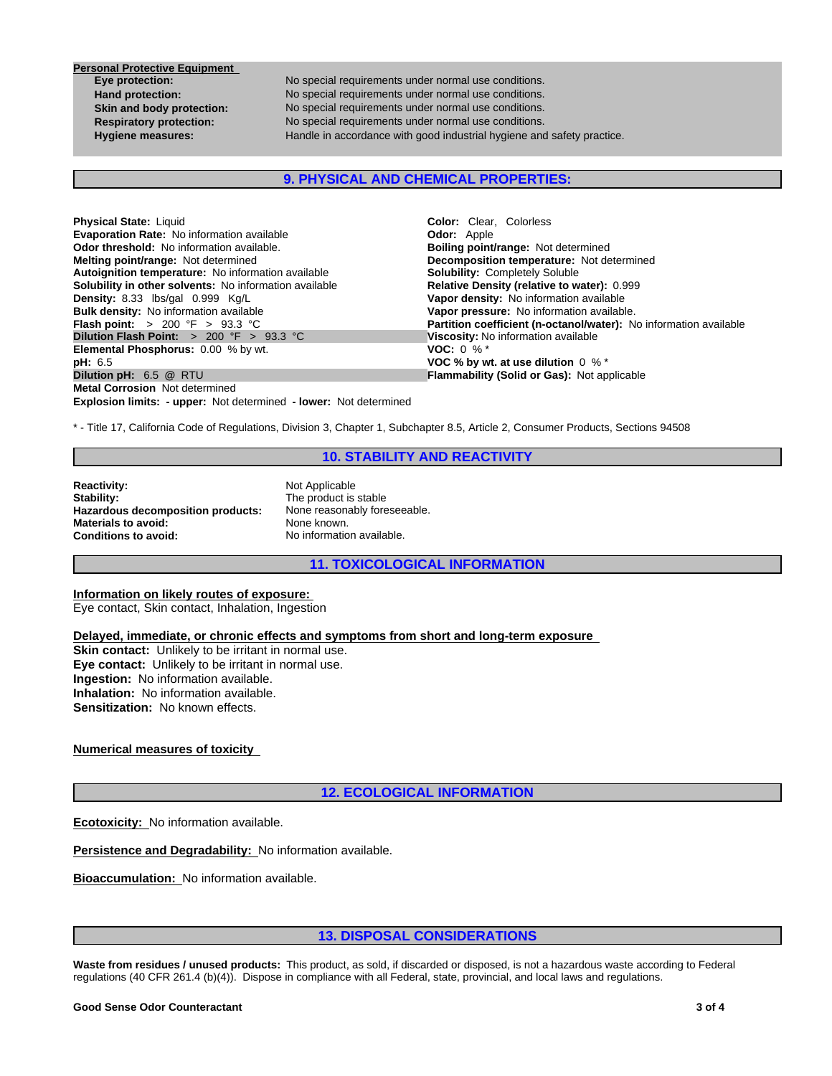**Personal Protective Equipment** 

**Eye protection:** No special requirements under normal use conditions.<br> **Hand protection:** No special requirements under normal use conditions. **Hand protection:** No special requirements under normal use conditions. **Skin and body protection:** No special requirements under normal use conditions.<br> **Respiratory protection:** No special requirements under normal use conditions. **Respiratory protection:** No special requirements under normal use conditions. **Hygiene measures:** Handle in accordance with good industrial hygiene and safety practice.

**9. PHYSICAL AND CHEMICAL PROPERTIES:**

| <b>Physical State: Liquid</b>                                            | <b>Color:</b> Clear. Colorless                                    |
|--------------------------------------------------------------------------|-------------------------------------------------------------------|
| <b>Evaporation Rate:</b> No information available                        | <b>Odor: Apple</b>                                                |
| <b>Odor threshold:</b> No information available.                         | <b>Boiling point/range: Not determined</b>                        |
| <b>Melting point/range: Not determined</b>                               | Decomposition temperature: Not determined                         |
| Autoignition temperature: No information available                       | <b>Solubility: Completely Soluble</b>                             |
| <b>Solubility in other solvents:</b> No information available            | Relative Density (relative to water): 0.999                       |
| Density: 8.33 lbs/gal 0.999 Kg/L                                         | Vapor density: No information available                           |
| Bulk density: No information available                                   | Vapor pressure: No information available.                         |
| <b>Flash point:</b> $> 200 \, \text{°F} > 93.3 \, \text{°C}$             | Partition coefficient (n-octanol/water): No information available |
| Dilution Flash Point: $> 200$ °F $> 93.3$ °C                             | Viscosity: No information available                               |
| <b>Elemental Phosphorus: 0.00 % by wt.</b>                               | <b>VOC:</b> 0 % $*$                                               |
| pH: 6.5                                                                  | VOC % by wt. at use dilution $0\%$ *                              |
| Dilution pH: 6.5 @ RTU                                                   | <b>Flammability (Solid or Gas): Not applicable</b>                |
| <b>Metal Corrosion</b> Not determined                                    |                                                                   |
| <b>Explosion limits: - upper:</b> Not determined - lower: Not determined |                                                                   |

\* - Title 17, California Code of Regulations, Division 3, Chapter 1, Subchapter 8.5, Article 2, Consumer Products, Sections 94508

## **10. STABILITY AND REACTIVITY**

**Reactivity:** Not Applicable<br> **Stability:** The product is **Hazardous decomposition products:** None reason<br>**Materials to avoid:** None known. **Materials to avoid:**<br>Conditions to avoid:

The product is stable<br>None reasonably foreseeable. **Conditions to avoid:** No information available.

**11. TOXICOLOGICAL INFORMATION**

**Information on likely routes of exposure:** 

Eye contact, Skin contact, Inhalation, Ingestion

**Delayed, immediate, or chronic effects and symptoms from short and long-term exposure** 

**Skin contact:** Unlikely to be irritant in normal use. **Eye contact:** Unlikely to be irritant in normal use. **Ingestion:** No information available. **Inhalation:** No information available. **Sensitization:** No known effects.

**Numerical measures of toxicity** 

**12. ECOLOGICAL INFORMATION**

**Ecotoxicity:** No information available.

Persistence and Degradability: No information available.

**Bioaccumulation:** No information available.

# **13. DISPOSAL CONSIDERATIONS**

**Waste from residues / unused products:** This product, as sold, if discarded or disposed, is not a hazardous waste according to Federal regulations (40 CFR 261.4 (b)(4)). Dispose in compliance with all Federal, state, provincial, and local laws and regulations.